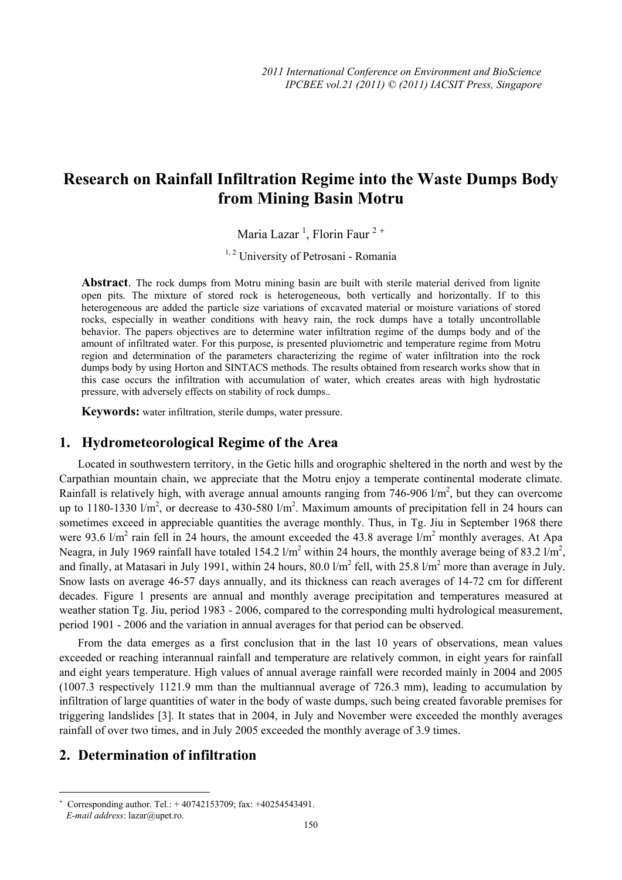# **Research on Rainfall Infiltration Regime into the Waste Dumps Body from Mining Basin Motru**

Maria Lazar<sup>1</sup>, Florin Faur<sup>2+</sup>

<sup>1, 2</sup> University of Petrosani - Romania

**Abstract**. The rock dumps from Motru mining basin are built with sterile material derived from lignite open pits. The mixture of stored rock is heterogeneous, both vertically and horizontally. If to this heterogeneous are added the particle size variations of excavated material or moisture variations of stored rocks, especially in weather conditions with heavy rain, the rock dumps have a totally uncontrollable behavior. The papers objectives are to determine water infiltration regime of the dumps body and of the amount of infiltrated water. For this purpose, is presented pluviometric and temperature regime from Motru region and determination of the parameters characterizing the regime of water infiltration into the rock dumps body by using Horton and SINTACS methods. The results obtained from research works show that in this case occurs the infiltration with accumulation of water, which creates areas with high hydrostatic pressure, with adversely effects on stability of rock dumps..

**Keywords:** water infiltration, sterile dumps, water pressure.

### **1. Hydrometeorological Regime of the Area**

Located in southwestern territory, in the Getic hills and orographic sheltered in the north and west by the Carpathian mountain chain, we appreciate that the Motru enjoy a temperate continental moderate climate. Rainfall is relatively high, with average annual amounts ranging from 746-906  $1/m^2$ , but they can overcome up to 1180-1330  $1/m^2$ , or decrease to 430-580  $1/m^2$ . Maximum amounts of precipitation fell in 24 hours can sometimes exceed in appreciable quantities the average monthly. Thus, in Tg. Jiu in September 1968 there were 93.6  $1/m^2$  rain fell in 24 hours, the amount exceeded the 43.8 average  $1/m^2$  monthly averages. At Apa Neagra, in July 1969 rainfall have totaled 154.2  $1/m^2$  within 24 hours, the monthly average being of 83.2  $1/m^2$ , and finally, at Matasari in July 1991, within 24 hours, 80.0  $1/m^2$  fell, with 25.8  $1/m^2$  more than average in July. Snow lasts on average 46-57 days annually, and its thickness can reach averages of 14-72 cm for different decades. Figure 1 presents are annual and monthly average precipitation and temperatures measured at weather station Tg. Jiu, period 1983 - 2006, compared to the corresponding multi hydrological measurement, period 1901 - 2006 and the variation in annual averages for that period can be observed.

From the data emerges as a first conclusion that in the last 10 years of observations, mean values exceeded or reaching interannual rainfall and temperature are relatively common, in eight years for rainfall and eight years temperature. High values of annual average rainfall were recorded mainly in 2004 and 2005 (1007.3 respectively 1121.9 mm than the multiannual average of 726.3 mm), leading to accumulation by infiltration of large quantities of water in the body of waste dumps, such being created favorable premises for triggering landslides [3]. It states that in 2004, in July and November were exceeded the monthly averages rainfall of over two times, and in July 2005 exceeded the monthly average of 3.9 times.

## **2. Determination of infiltration**

 $\overline{a}$ 

<sup>+</sup> Corresponding author. Tel.: + 40742153709; fax: +40254543491. *E-mail address*: lazar@upet.ro.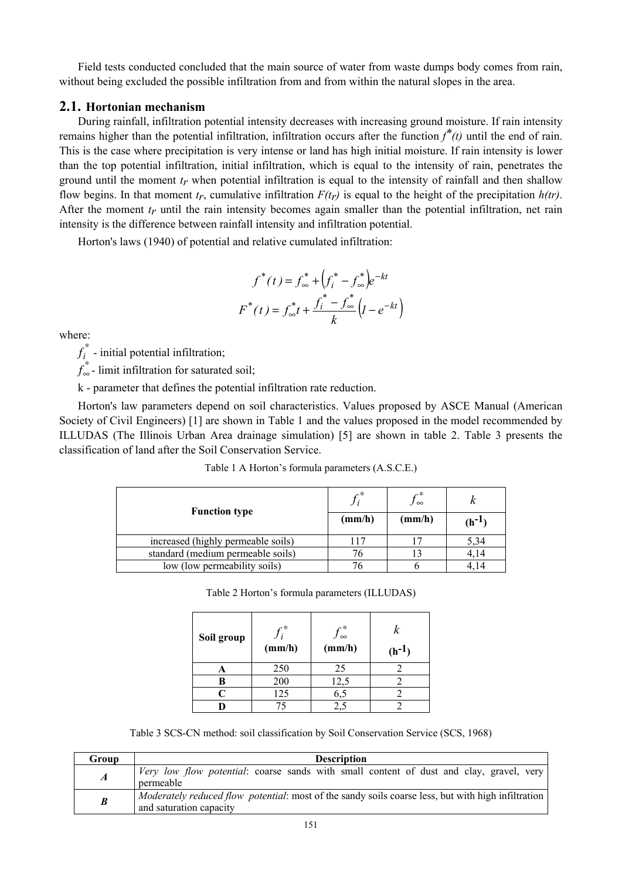Field tests conducted concluded that the main source of water from waste dumps body comes from rain, without being excluded the possible infiltration from and from within the natural slopes in the area.

#### **2.1. Hortonian mechanism**

During rainfall, infiltration potential intensity decreases with increasing ground moisture. If rain intensity remains higher than the potential infiltration, infiltration occurs after the function  $f^*(t)$  until the end of rain. This is the case where precipitation is very intense or land has high initial moisture. If rain intensity is lower than the top potential infiltration, initial infiltration, which is equal to the intensity of rain, penetrates the ground until the moment  $t_r$  when potential infiltration is equal to the intensity of rainfall and then shallow flow begins. In that moment  $t_r$ , cumulative infiltration  $F(t_r)$  is equal to the height of the precipitation  $h(tr)$ . After the moment  $t_r$  until the rain intensity becomes again smaller than the potential infiltration, net rain intensity is the difference between rainfall intensity and infiltration potential.

Horton's laws (1940) of potential and relative cumulated infiltration:

$$
f^*(t) = f^*_{\infty} + \left(f_i^* - f^*_{\infty}\right)e^{-kt}
$$

$$
F^*(t) = f^*_{\infty}t + \frac{f_i^* - f^*_{\infty}}{k}\left(l - e^{-kt}\right)
$$

where:

 $f_i^*$  - initial potential infiltration;

*f*∞ *\** - limit infiltration for saturated soil;

k - parameter that defines the potential infiltration rate reduction.

Horton's law parameters depend on soil characteristics. Values proposed by ASCE Manual (American Society of Civil Engineers) [1] are shown in Table 1 and the values proposed in the model recommended by ILLUDAS (The Illinois Urban Area drainage simulation) [5] are shown in table 2. Table 3 presents the classification of land after the Soil Conservation Service.

| <b>Function type</b>               | ∽∗     | γ∗<br>.∕∞ |            |
|------------------------------------|--------|-----------|------------|
|                                    | (mm/h) | (mm/h)    | $(h^{-1})$ |
| increased (highly permeable soils) | 117    |           | 5.34       |
| standard (medium permeable soils)  |        |           | 4.14       |
| low (low permeability soils)       |        |           |            |

|  |  |  | Table 1 A Horton's formula parameters (A.S.C.E.) |  |
|--|--|--|--------------------------------------------------|--|
|--|--|--|--------------------------------------------------|--|

| Table 2 Horton's formula parameters (ILLUDAS) |  |  |  |
|-----------------------------------------------|--|--|--|
|-----------------------------------------------|--|--|--|

| Soil group | $\mathfrak{g}$<br>(mm/h) | $f_{\infty}^*$<br>(mm/h) | k<br>$(h^{-1})$ |
|------------|--------------------------|--------------------------|-----------------|
|            | 250                      | 25                       |                 |
| В          | 200                      | 12,5                     |                 |
| Ր          | 125                      | 6,5                      |                 |
|            | 75                       |                          |                 |

Table 3 SCS-CN method: soil classification by Soil Conservation Service (SCS, 1968)

| Group            | <b>Description</b>                                                                                                            |  |  |  |  |
|------------------|-------------------------------------------------------------------------------------------------------------------------------|--|--|--|--|
| $\boldsymbol{A}$ | Very low flow potential: coarse sands with small content of dust and clay, gravel, very<br>permeable                          |  |  |  |  |
| B                | Moderately reduced flow potential: most of the sandy soils coarse less, but with high infiltration<br>and saturation capacity |  |  |  |  |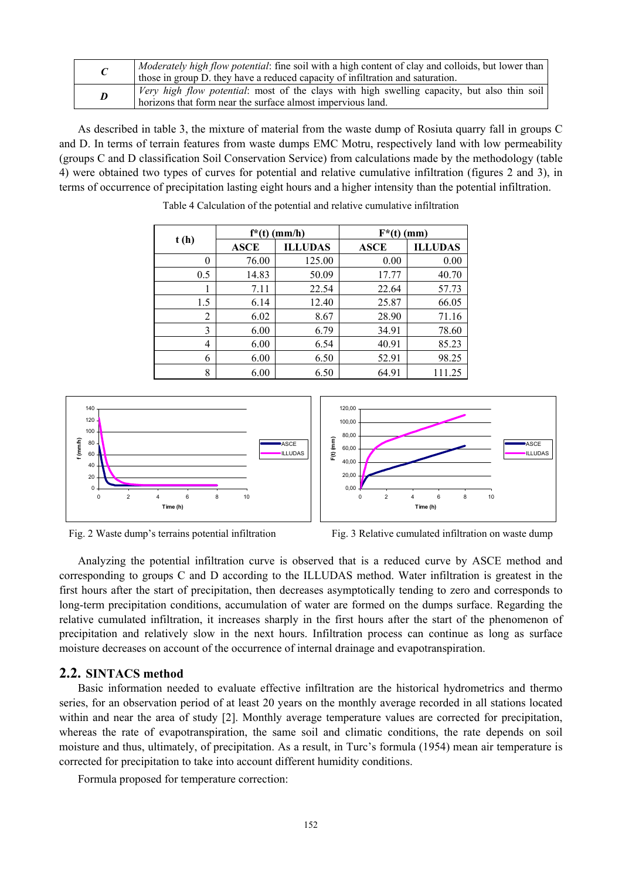|   | Moderately high flow potential: fine soil with a high content of clay and colloids, but lower than<br>those in group D. they have a reduced capacity of infiltration and saturation. |
|---|--------------------------------------------------------------------------------------------------------------------------------------------------------------------------------------|
| D | <i>Very high flow potential:</i> most of the clays with high swelling capacity, but also thin soil<br>horizons that form near the surface almost impervious land.                    |

As described in table 3, the mixture of material from the waste dump of Rosiuta quarry fall in groups C and D. In terms of terrain features from waste dumps EMC Motru, respectively land with low permeability (groups C and D classification Soil Conservation Service) from calculations made by the methodology (table 4) were obtained two types of curves for potential and relative cumulative infiltration (figures 2 and 3), in terms of occurrence of precipitation lasting eight hours and a higher intensity than the potential infiltration.

| t(h) | $f^*(t)$ (mm/h) |                | $F^*(t)$ (mm) |                |  |
|------|-----------------|----------------|---------------|----------------|--|
|      | <b>ASCE</b>     | <b>ILLUDAS</b> | <b>ASCE</b>   | <b>ILLUDAS</b> |  |
| 0    | 76.00           | 125.00         | 0.00          | 0.00           |  |
| 0.5  | 14.83           | 50.09          | 17.77         | 40.70          |  |
| 1    | 7.11            | 22.54          | 22.64         | 57.73          |  |
| 1.5  | 6.14            | 12.40          | 25.87         | 66.05          |  |
| 2    | 6.02            | 8.67           | 28.90         | 71.16          |  |
| 3    | 6.00            | 6.79           | 34.91         | 78.60          |  |
| 4    | 6.00            | 6.54           | 40.91         | 85.23          |  |
| 6    | 6.00            | 6.50           | 52.91         | 98.25          |  |
| 8    | 6.00            | 6.50           | 64.91         | 111.25         |  |

Table 4 Calculation of the potential and relative cumulative infiltration





Fig. 2 Waste dump's terrains potential infiltration Fig. 3 Relative cumulated infiltration on waste dump

Analyzing the potential infiltration curve is observed that is a reduced curve by ASCE method and corresponding to groups C and D according to the ILLUDAS method. Water infiltration is greatest in the first hours after the start of precipitation, then decreases asymptotically tending to zero and corresponds to long-term precipitation conditions, accumulation of water are formed on the dumps surface. Regarding the relative cumulated infiltration, it increases sharply in the first hours after the start of the phenomenon of precipitation and relatively slow in the next hours. Infiltration process can continue as long as surface moisture decreases on account of the occurrence of internal drainage and evapotranspiration.

### **2.2. SINTACS method**

Basic information needed to evaluate effective infiltration are the historical hydrometrics and thermo series, for an observation period of at least 20 years on the monthly average recorded in all stations located within and near the area of study [2]. Monthly average temperature values are corrected for precipitation, whereas the rate of evapotranspiration, the same soil and climatic conditions, the rate depends on soil moisture and thus, ultimately, of precipitation. As a result, in Turc's formula (1954) mean air temperature is corrected for precipitation to take into account different humidity conditions.

Formula proposed for temperature correction: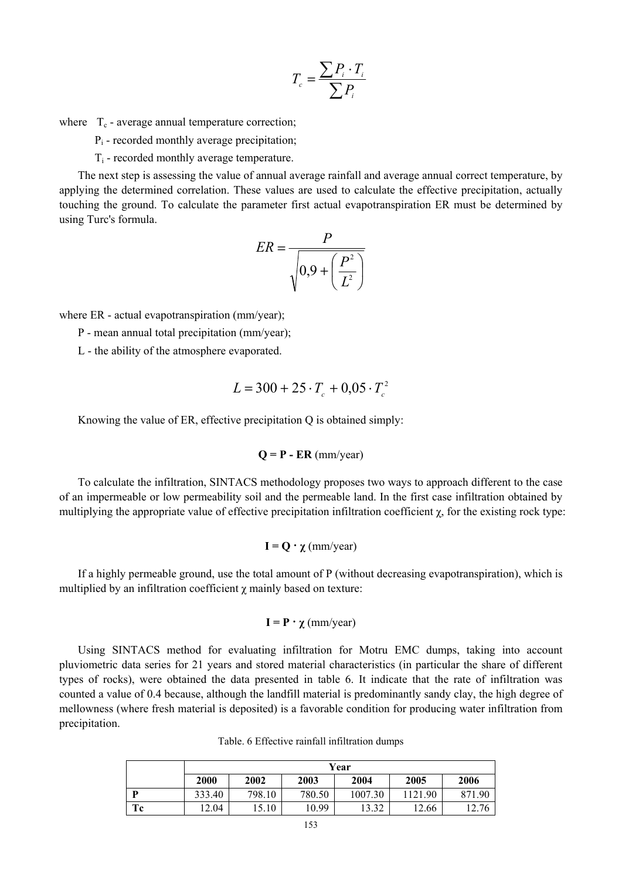$$
T_c = \frac{\sum P_i \cdot T_i}{\sum P_i}
$$

where  $T_c$  - average annual temperature correction;

Pi - recorded monthly average precipitation;

Ti - recorded monthly average temperature.

The next step is assessing the value of annual average rainfall and average annual correct temperature, by applying the determined correlation. These values are used to calculate the effective precipitation, actually touching the ground. To calculate the parameter first actual evapotranspiration ER must be determined by using Turc's formula.

$$
ER = \frac{P}{\sqrt{0.9 + \left(\frac{P^2}{L^2}\right)}}
$$

where ER - actual evapotranspiration (mm/year);

P - mean annual total precipitation (mm/year);

L - the ability of the atmosphere evaporated.

$$
L = 300 + 25 \cdot T_c + 0.05 \cdot T_c^2
$$

Knowing the value of ER, effective precipitation Q is obtained simply:

$$
Q = P - ER (mm/year)
$$

To calculate the infiltration, SINTACS methodology proposes two ways to approach different to the case of an impermeable or low permeability soil and the permeable land. In the first case infiltration obtained by multiplying the appropriate value of effective precipitation infiltration coefficient  $\chi$ , for the existing rock type:

$$
\mathbf{I} = \mathbf{Q} \cdot \chi \, (\text{mm/year})
$$

If a highly permeable ground, use the total amount of P (without decreasing evapotranspiration), which is multiplied by an infiltration coefficient  $\chi$  mainly based on texture:

$$
\mathbf{I} = \mathbf{P} \cdot \chi \, \text{(mm/year)}
$$

Using SINTACS method for evaluating infiltration for Motru EMC dumps, taking into account pluviometric data series for 21 years and stored material characteristics (in particular the share of different types of rocks), were obtained the data presented in table 6. It indicate that the rate of infiltration was counted a value of 0.4 because, although the landfill material is predominantly sandy clay, the high degree of mellowness (where fresh material is deposited) is a favorable condition for producing water infiltration from precipitation.

Table. 6 Effective rainfall infiltration dumps

|    | Year   |        |        |         |         |        |
|----|--------|--------|--------|---------|---------|--------|
|    | 2000   | 2002   | 2003   | 2004    | 2005    | 2006   |
| D  | 333.40 | 798.10 | 780.50 | 1007.30 | 1121.90 | 871.90 |
| Tc | 2.04   | 5.10   | 10.99  | 13.32   | 2.66    | 12.76  |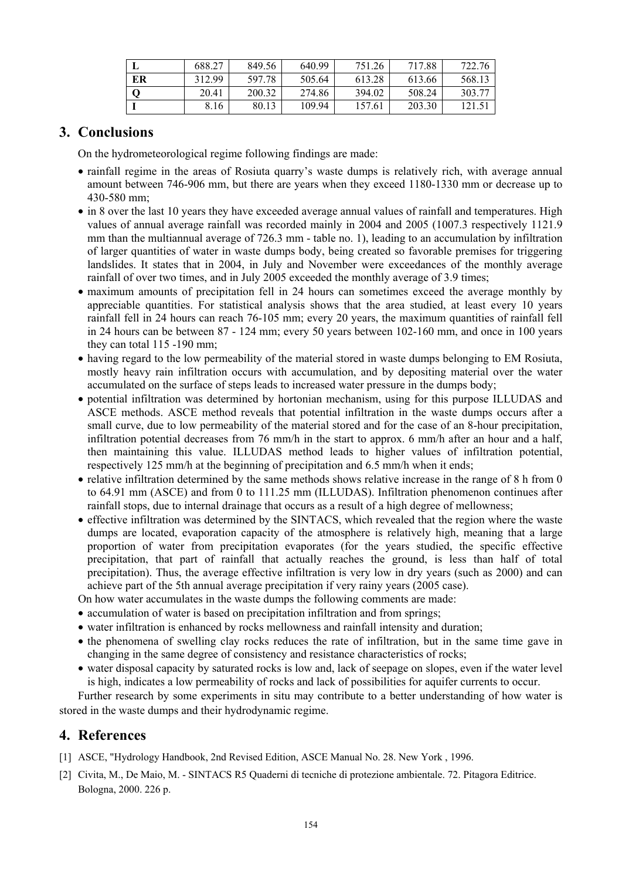|    | 688.27 | 849.56 | 640.99 | 751.26 | 717.88 | 722.76 |
|----|--------|--------|--------|--------|--------|--------|
| ER | 312.99 | 597.78 | 505.64 | 613.28 | 613.66 | 568.13 |
|    | 20.41  | 200.32 | 274.86 | 394.02 | 508.24 | 303.77 |
|    | 8.16   | 80.13  | 109.94 | 157.61 | 203.30 | 121.5' |

# **3. Conclusions**

On the hydrometeorological regime following findings are made:

- rainfall regime in the areas of Rosiuta quarry's waste dumps is relatively rich, with average annual amount between 746-906 mm, but there are years when they exceed 1180-1330 mm or decrease up to 430-580 mm;
- in 8 over the last 10 years they have exceeded average annual values of rainfall and temperatures. High values of annual average rainfall was recorded mainly in 2004 and 2005 (1007.3 respectively 1121.9 mm than the multiannual average of 726.3 mm - table no. 1), leading to an accumulation by infiltration of larger quantities of water in waste dumps body, being created so favorable premises for triggering landslides. It states that in 2004, in July and November were exceedances of the monthly average rainfall of over two times, and in July 2005 exceeded the monthly average of 3.9 times;
- maximum amounts of precipitation fell in 24 hours can sometimes exceed the average monthly by appreciable quantities. For statistical analysis shows that the area studied, at least every 10 years rainfall fell in 24 hours can reach 76-105 mm; every 20 years, the maximum quantities of rainfall fell in 24 hours can be between 87 - 124 mm; every 50 years between 102-160 mm, and once in 100 years they can total 115 -190 mm;
- having regard to the low permeability of the material stored in waste dumps belonging to EM Rosiuta, mostly heavy rain infiltration occurs with accumulation, and by depositing material over the water accumulated on the surface of steps leads to increased water pressure in the dumps body;
- potential infiltration was determined by hortonian mechanism, using for this purpose ILLUDAS and ASCE methods. ASCE method reveals that potential infiltration in the waste dumps occurs after a small curve, due to low permeability of the material stored and for the case of an 8-hour precipitation, infiltration potential decreases from 76 mm/h in the start to approx. 6 mm/h after an hour and a half, then maintaining this value. ILLUDAS method leads to higher values of infiltration potential, respectively 125 mm/h at the beginning of precipitation and 6.5 mm/h when it ends;
- relative infiltration determined by the same methods shows relative increase in the range of 8 h from 0 to 64.91 mm (ASCE) and from 0 to 111.25 mm (ILLUDAS). Infiltration phenomenon continues after rainfall stops, due to internal drainage that occurs as a result of a high degree of mellowness;
- effective infiltration was determined by the SINTACS, which revealed that the region where the waste dumps are located, evaporation capacity of the atmosphere is relatively high, meaning that a large proportion of water from precipitation evaporates (for the years studied, the specific effective precipitation, that part of rainfall that actually reaches the ground, is less than half of total precipitation). Thus, the average effective infiltration is very low in dry years (such as 2000) and can achieve part of the 5th annual average precipitation if very rainy years (2005 case).

On how water accumulates in the waste dumps the following comments are made:

- accumulation of water is based on precipitation infiltration and from springs;
- water infiltration is enhanced by rocks mellowness and rainfall intensity and duration;
- the phenomena of swelling clay rocks reduces the rate of infiltration, but in the same time gave in changing in the same degree of consistency and resistance characteristics of rocks;
- water disposal capacity by saturated rocks is low and, lack of seepage on slopes, even if the water level is high, indicates a low permeability of rocks and lack of possibilities for aquifer currents to occur.

Further research by some experiments in situ may contribute to a better understanding of how water is stored in the waste dumps and their hydrodynamic regime.

# **4. References**

- [1] ASCE, "Hydrology Handbook, 2nd Revised Edition, ASCE Manual No. 28. New York , 1996.
- [2] Civita, M., De Maio, M. SINTACS R5 Quaderni di tecniche di protezione ambientale. 72. Pitagora Editrice. Bologna, 2000. 226 p.